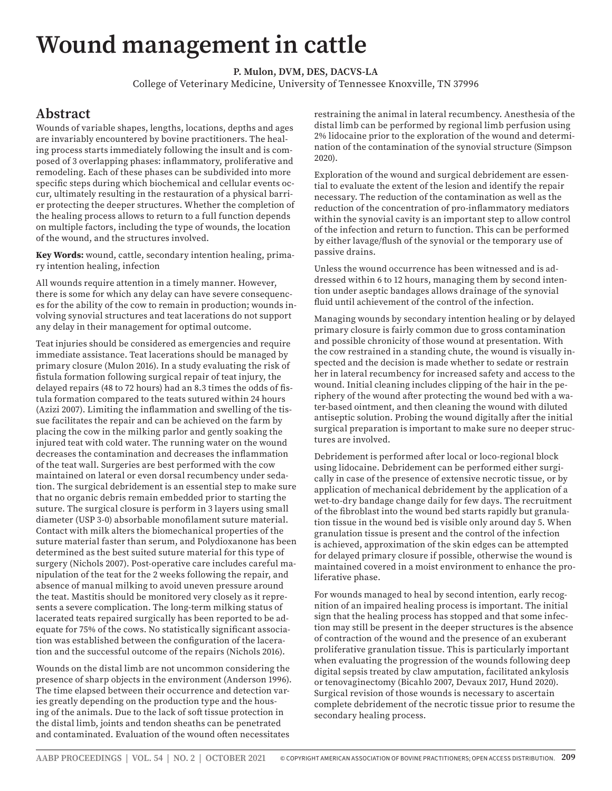## **Wound management in cattle**

**P. Mulon, DVM, DES, DACVS-LA**

College of Veterinary Medicine, University of Tennessee Knoxville, TN 37996

## **Abstract**

Wounds of variable shapes, lengths, locations, depths and ages are invariably encountered by bovine practitioners. The healing process starts immediately following the insult and is composed of 3 overlapping phases: inflammatory, proliferative and remodeling. Each of these phases can be subdivided into more specific steps during which biochemical and cellular events occur, ultimately resulting in the restauration of a physical barrier protecting the deeper structures. Whether the completion of the healing process allows to return to a full function depends on multiple factors, including the type of wounds, the location of the wound, and the structures involved.

**Key Words:** wound, cattle, secondary intention healing, primary intention healing, infection

All wounds require attention in a timely manner. However, there is some for which any delay can have severe consequences for the ability of the cow to remain in production; wounds involving synovial structures and teat lacerations do not support any delay in their management for optimal outcome.

Teat injuries should be considered as emergencies and require immediate assistance. Teat lacerations should be managed by primary closure (Mulon 2016). In a study evaluating the risk of fistula formation following surgical repair of teat injury, the delayed repairs (48 to 72 hours) had an 8.3 times the odds of fistula formation compared to the teats sutured within 24 hours (Azizi 2007). Limiting the inflammation and swelling of the tissue facilitates the repair and can be achieved on the farm by placing the cow in the milking parlor and gently soaking the injured teat with cold water. The running water on the wound decreases the contamination and decreases the inflammation of the teat wall. Surgeries are best performed with the cow maintained on lateral or even dorsal recumbency under sedation. The surgical debridement is an essential step to make sure that no organic debris remain embedded prior to starting the suture. The surgical closure is perform in 3 layers using small diameter (USP 3-0) absorbable monofilament suture material. Contact with milk alters the biomechanical properties of the suture material faster than serum, and Polydioxanone has been determined as the best suited suture material for this type of surgery (Nichols 2007). Post-operative care includes careful manipulation of the teat for the 2 weeks following the repair, and absence of manual milking to avoid uneven pressure around the teat. Mastitis should be monitored very closely as it represents a severe complication. The long-term milking status of lacerated teats repaired surgically has been reported to be adequate for 75% of the cows. No statistically significant association was established between the configuration of the laceration and the successful outcome of the repairs (Nichols 2016).

Wounds on the distal limb are not uncommon considering the presence of sharp objects in the environment (Anderson 1996). The time elapsed between their occurrence and detection varies greatly depending on the production type and the housing of the animals. Due to the lack of soft tissue protection in the distal limb, joints and tendon sheaths can be penetrated and contaminated. Evaluation of the wound often necessitates

restraining the animal in lateral recumbency. Anesthesia of the distal limb can be performed by regional limb perfusion using 2% lidocaine prior to the exploration of the wound and determination of the contamination of the synovial structure (Simpson 2020).

Exploration of the wound and surgical debridement are essential to evaluate the extent of the lesion and identify the repair necessary. The reduction of the contamination as well as the reduction of the concentration of pro-inflammatory mediators within the synovial cavity is an important step to allow control of the infection and return to function. This can be performed by either lavage/flush of the synovial or the temporary use of passive drains.

Unless the wound occurrence has been witnessed and is addressed within 6 to 12 hours, managing them by second intention under aseptic bandages allows drainage of the synovial fluid until achievement of the control of the infection.

Managing wounds by secondary intention healing or by delayed primary closure is fairly common due to gross contamination and possible chronicity of those wound at presentation. With the cow restrained in a standing chute, the wound is visually inspected and the decision is made whether to sedate or restrain her in lateral recumbency for increased safety and access to the wound. Initial cleaning includes clipping of the hair in the periphery of the wound after protecting the wound bed with a water-based ointment, and then cleaning the wound with diluted antiseptic solution. Probing the wound digitally after the initial surgical preparation is important to make sure no deeper structures are involved.

Debridement is performed after local or loco-regional block using lidocaine. Debridement can be performed either surgically in case of the presence of extensive necrotic tissue, or by application of mechanical debridement by the application of a wet-to-dry bandage change daily for few days. The recruitment of the fibroblast into the wound bed starts rapidly but granulation tissue in the wound bed is visible only around day 5. When granulation tissue is present and the control of the infection is achieved, approximation of the skin edges can be attempted for delayed primary closure if possible, otherwise the wound is maintained covered in a moist environment to enhance the proliferative phase.

For wounds managed to heal by second intention, early recognition of an impaired healing process is important. The initial sign that the healing process has stopped and that some infection may still be present in the deeper structures is the absence of contraction of the wound and the presence of an exuberant proliferative granulation tissue. This is particularly important when evaluating the progression of the wounds following deep digital sepsis treated by claw amputation, facilitated ankylosis or tenovaginectomy (Bicahlo 2007, Devaux 2017, Hund 2020). Surgical revision of those wounds is necessary to ascertain complete debridement of the necrotic tissue prior to resume the secondary healing process.